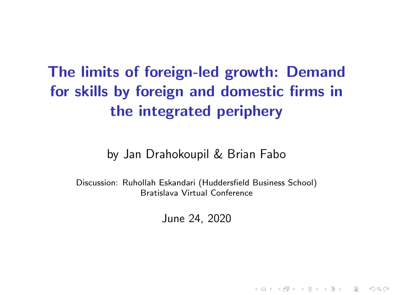The limits of foreign-led growth: Demand for skills by foreign and domestic firms in the integrated periphery

by Jan Drahokoupil & Brian Fabo

Discussion: Ruhollah Eskandari (Huddersfield Business School) Bratislava Virtual Conference

June 24, 2020

**KORKARYKERKER POLO**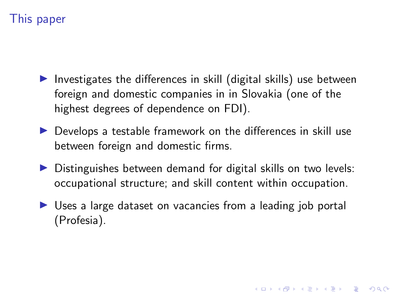# This paper

- Investigates the differences in skill (digital skills) use between foreign and domestic companies in in Slovakia (one of the highest degrees of dependence on FDI).
- $\triangleright$  Develops a testable framework on the differences in skill use between foreign and domestic firms.
- $\triangleright$  Distinguishes between demand for digital skills on two levels: occupational structure; and skill content within occupation.
- $\triangleright$  Uses a large dataset on vacancies from a leading job portal (Profesia).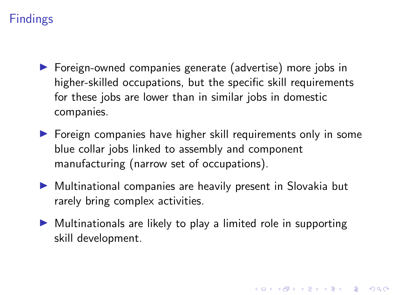# Findings

- ▶ Foreign-owned companies generate (advertise) more jobs in higher-skilled occupations, but the specific skill requirements for these jobs are lower than in similar jobs in domestic companies.
- $\triangleright$  Foreign companies have higher skill requirements only in some blue collar jobs linked to assembly and component manufacturing (narrow set of occupations).
- $\triangleright$  Multinational companies are heavily present in Slovakia but rarely bring complex activities.
- $\triangleright$  Multinationals are likely to play a limited role in supporting skill development.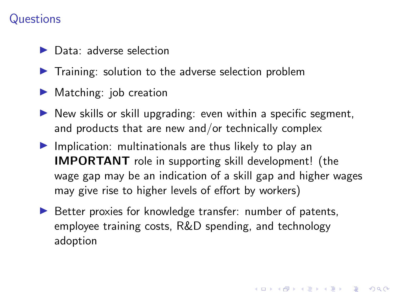### **Questions**

- $\blacktriangleright$  Data: adverse selection
- $\blacktriangleright$  Training: solution to the adverse selection problem
- $\blacktriangleright$  Matching: job creation
- $\triangleright$  New skills or skill upgrading: even within a specific segment, and products that are new and/or technically complex
- $\blacktriangleright$  Implication: multinationals are thus likely to play an IMPORTANT role in supporting skill development! (the wage gap may be an indication of a skill gap and higher wages may give rise to higher levels of effort by workers)
- $\triangleright$  Better proxies for knowledge transfer: number of patents, employee training costs, R&D spending, and technology adoption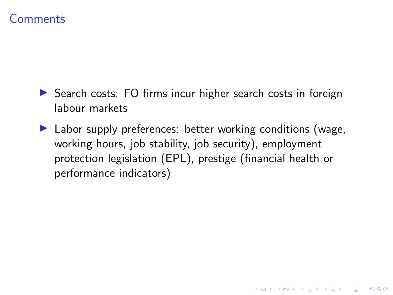#### **Comments**

- $\triangleright$  Search costs: FO firms incur higher search costs in foreign labour markets
- $\blacktriangleright$  Labor supply preferences: better working conditions (wage, working hours, job stability, job security), employment protection legislation (EPL), prestige (financial health or performance indicators)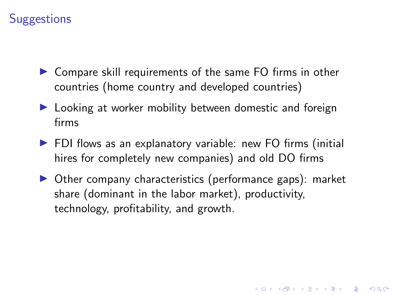## **Suggestions**

- $\triangleright$  Compare skill requirements of the same FO firms in other countries (home country and developed countries)
- $\blacktriangleright$  Looking at worker mobility between domestic and foreign firms
- $\blacktriangleright$  FDI flows as an explanatory variable: new FO firms (initial hires for completely new companies) and old DO firms
- $\triangleright$  Other company characteristics (performance gaps): market share (dominant in the labor market), productivity, technology, profitability, and growth.